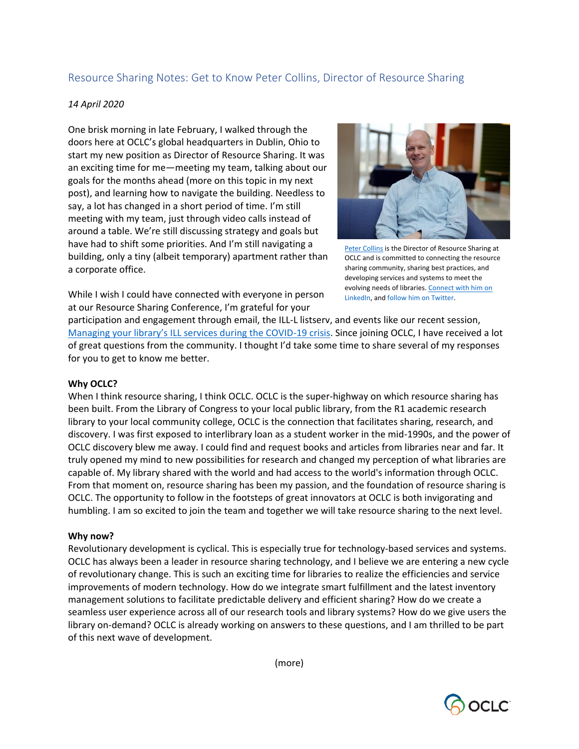# Resource Sharing Notes: Get to Know Peter Collins, Director of Resource Sharing

### *14 April 2020*

One brisk morning in late February, I walked through the doors here at OCLC's global headquarters in Dublin, Ohio to start my new position as Director of Resource Sharing. It was an exciting time for me—meeting my team, talking about our goals for the months ahead (more on this topic in my next post), and learning how to navigate the building. Needless to say, a lot has changed in a short period of time. I'm still meeting with my team, just through video calls instead of around a table. We're still discussing strategy and goals but have had to shift some priorities. And I'm still navigating a building, only a tiny (albeit temporary) apartment rather than a corporate office.



[Peter Collins](https://www.oclc.org/en/user/view-profile.html/home/users/2/2re4vJgSxNs6FEI4AW4M/profile.html) is the Director of Resource Sharing at OCLC and is committed to connecting the resource sharing community, sharing best practices, and developing services and systems to meet the evolving needs of libraries. [Connect with him on](https://www.linkedin.com/in/pdcollins/)  [LinkedIn,](https://www.linkedin.com/in/pdcollins/) an[d follow him on Twitter.](https://twitter.com/ILL_Peter)

While I wish I could have connected with everyone in person at our Resource Sharing Conference, I'm grateful for your

participation and engagement through email, the ILL-L listserv, and events like our recent session, M[anaging your library's ILL services during the COVID](https://www.youtube.com/watch?v=mWxCDPnjHKc&feature=youtu.be)-19 crisis. Since joining OCLC, I have received a lot of great questions from the community. I thought I'd take some time to share several of my responses for you to get to know me better.

#### **Why OCLC?**

When I think resource sharing, I think OCLC. OCLC is the super-highway on which resource sharing has been built. From the Library of Congress to your local public library, from the R1 academic research library to your local community college, OCLC is the connection that facilitates sharing, research, and discovery. I was first exposed to interlibrary loan as a student worker in the mid-1990s, and the power of OCLC discovery blew me away. I could find and request books and articles from libraries near and far. It truly opened my mind to new possibilities for research and changed my perception of what libraries are capable of. My library shared with the world and had access to the world's information through OCLC. From that moment on, resource sharing has been my passion, and the foundation of resource sharing is OCLC. The opportunity to follow in the footsteps of great innovators at OCLC is both invigorating and humbling. I am so excited to join the team and together we will take resource sharing to the next level.

#### **Why now?**

Revolutionary development is cyclical. This is especially true for technology-based services and systems. OCLC has always been a leader in resource sharing technology, and I believe we are entering a new cycle of revolutionary change. This is such an exciting time for libraries to realize the efficiencies and service improvements of modern technology. How do we integrate smart fulfillment and the latest inventory management solutions to facilitate predictable delivery and efficient sharing? How do we create a seamless user experience across all of our research tools and library systems? How do we give users the library on-demand? OCLC is already working on answers to these questions, and I am thrilled to be part of this next wave of development.

(more)